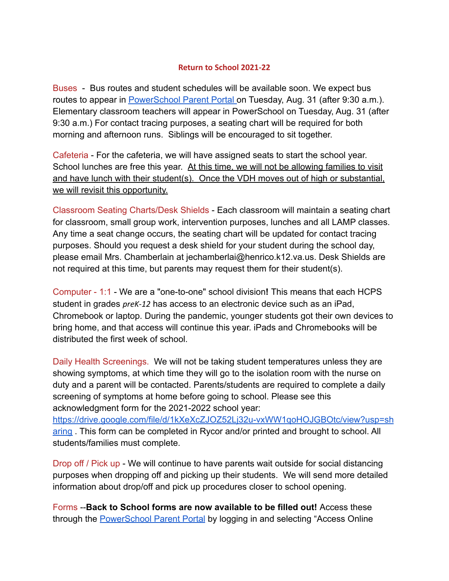## **Return to School 2021-22**

Buses - Bus routes and student schedules will be available soon. We expect bus routes to appear in [PowerSchool Parent Portal](http://track.spe.schoolmessenger.com/f/a/xJrvOyGqU0e3ajph3oMt4Q~~/AAAAAQA~/RgRjAMzbP0QuaHR0cHM6Ly9zaXMuaGVucmljby5rMTIudmEudXMvcHVibGljL2hvbWUuaHRtbFcHc2Nob29sbUIKYRpbmR9hmey_YVIda2JlZ2dsZXN0b25AaGVucmljby5rMTIudmEudXNYBAAAAAE~) on Tuesday, Aug. 31 (after 9:30 a.m.). Elementary classroom teachers will appear in PowerSchool on Tuesday, Aug. 31 (after 9:30 a.m.) For contact tracing purposes, a seating chart will be required for both morning and afternoon runs. Siblings will be encouraged to sit together.

Cafeteria - For the cafeteria, we will have assigned seats to start the school year. School lunches are free this year. At this time, we will not be allowing families to visit and have lunch with their student(s). Once the VDH moves out of high or substantial, we will revisit this opportunity.

Classroom Seating Charts/Desk Shields - Each classroom will maintain a seating chart for classroom, small group work, intervention purposes, lunches and all LAMP classes. Any time a seat change occurs, the seating chart will be updated for contact tracing purposes. Should you request a desk shield for your student during the school day, please email Mrs. Chamberlain at jechamberlai@henrico.k12.va.us. Desk Shields are not required at this time, but parents may request them for their student(s).

Computer - 1:1 - We are a "one-to-one" school division**!** This means that each HCPS student in grades *preK-12* has access to an electronic device such as an iPad, Chromebook or laptop. During the pandemic, younger students got their own devices to bring home, and that access will continue this year. iPads and Chromebooks will be distributed the first week of school.

Daily Health Screenings. We will not be taking student temperatures unless they are showing symptoms, at which time they will go to the isolation room with the nurse on duty and a parent will be contacted. Parents/students are required to complete a daily screening of symptoms at home before going to school. Please see this acknowledgment form for the 2021-2022 school year[:](http://track.spe.schoolmessenger.com/f/a/GDfjgAeYnY2nlN3ZvktHNQ~~/AAAAAQA~/RgRjAMzbP0RSaHR0cHM6Ly9kcml2ZS5nb29nbGUuY29tL2ZpbGUvZC8xa1hlWGNaSk9aNTJMajMydS12eFdXMXFvSE9KR0JPdGMvdmlldz91c3A9c2hhcmluZ1cHc2Nob29sbUIKYRpbmR9hmey_YVIda2JlZ2dsZXN0b25AaGVucmljby5rMTIudmEudXNYBAAAAAE~)

[https://drive.google.com/file/d/1kXeXcZJOZ52Lj32u-vxWW1qoHOJGBOtc/view?usp=sh](http://track.spe.schoolmessenger.com/f/a/GDfjgAeYnY2nlN3ZvktHNQ~~/AAAAAQA~/RgRjAMzbP0RSaHR0cHM6Ly9kcml2ZS5nb29nbGUuY29tL2ZpbGUvZC8xa1hlWGNaSk9aNTJMajMydS12eFdXMXFvSE9KR0JPdGMvdmlldz91c3A9c2hhcmluZ1cHc2Nob29sbUIKYRpbmR9hmey_YVIda2JlZ2dsZXN0b25AaGVucmljby5rMTIudmEudXNYBAAAAAE~) [aring](http://track.spe.schoolmessenger.com/f/a/GDfjgAeYnY2nlN3ZvktHNQ~~/AAAAAQA~/RgRjAMzbP0RSaHR0cHM6Ly9kcml2ZS5nb29nbGUuY29tL2ZpbGUvZC8xa1hlWGNaSk9aNTJMajMydS12eFdXMXFvSE9KR0JPdGMvdmlldz91c3A9c2hhcmluZ1cHc2Nob29sbUIKYRpbmR9hmey_YVIda2JlZ2dsZXN0b25AaGVucmljby5rMTIudmEudXNYBAAAAAE~) . This form can be completed in Rycor and/or printed and brought to school. All students/families must complete.

Drop off / Pick up - We will continue to have parents wait outside for social distancing purposes when dropping off and picking up their students. We will send more detailed information about drop/off and pick up procedures closer to school opening.

Forms --**Back to School forms are now available to be filled out!** Access these through the [PowerSchool Parent Portal](http://track.spe.schoolmessenger.com/f/a/xJrvOyGqU0e3ajph3oMt4Q~~/AAAAAQA~/RgRjAMzbP0QuaHR0cHM6Ly9zaXMuaGVucmljby5rMTIudmEudXMvcHVibGljL2hvbWUuaHRtbFcHc2Nob29sbUIKYRpbmR9hmey_YVIda2JlZ2dsZXN0b25AaGVucmljby5rMTIudmEudXNYBAAAAAE~) by logging in and selecting "Access Online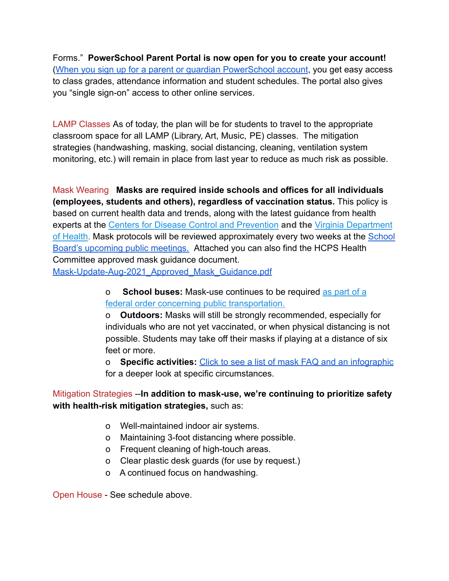Forms." **PowerSchool Parent Portal is now open for you to create your account!** ([When you sign up for a parent or guardian PowerSchool](http://track.spe.schoolmessenger.com/f/a/TmLCw54fOT523MpiDYrLGA~~/AAAAAQA~/RgRjAMzbP0QqaHR0cHM6Ly9oZW5yaWNvc2Nob29scy51cy9vbmxpbmUtc2VydmljZXMvVwdzY2hvb2xtQgphGluZH2GZ7L9hUh1rYmVnZ2xlc3RvbkBoZW5yaWNvLmsxMi52YS51c1gEAAAAAQ~~) account, you get easy access to class grades, attendance information and student schedules. The portal also gives you "single sign-on" access to other online services.

LAMP Classes As of today, the plan will be for students to travel to the appropriate classroom space for all LAMP (Library, Art, Music, PE) classes. The mitigation strategies (handwashing, masking, social distancing, cleaning, ventilation system monitoring, etc.) will remain in place from last year to reduce as much risk as possible.

Mask Wearing **Masks are required inside schools and offices for all individuals (employees, students and others), regardless of vaccination status.** This policy is based on current health data and trends, along with the latest guidance from health experts at the [Centers for Disease Control and Prevention](http://track.spe.schoolmessenger.com/f/a/ZnkOuLR0r97JKYN4e43mYA~~/AAAAAQA~/RgRjAMzbP0RRaHR0cHM6Ly93d3cuY2RjLmdvdi9jb3JvbmF2aXJ1cy8yMDE5LW5jb3YvdmFjY2luZXMvZnVsbHktdmFjY2luYXRlZC1ndWlkYW5jZS5odG1sVwdzY2hvb2xtQgphGluZH2GZ7L9hUh1rYmVnZ2xlc3RvbkBoZW5yaWNvLmsxMi52YS51c1gEAAAAAQ~~) **and the** [Virginia Department](http://track.spe.schoolmessenger.com/f/a/-tnoj3sIS2cJUK6pyObPSg~~/AAAAAQA~/RgRjAMzbP0TyaHR0cHM6Ly93d3cudmRoLnZpcmdpbmlhLmdvdi9ibG9nLzIwMjEvMDcvMjEvdmlyZ2luaWEtZGVwYXJ0bWVudHMtb2YtaGVhbHRoLWFuZC1lZHVjYXRpb24tcmVsZWFzZS11cGRhdGVkLWd1aWRhbmNlLWZvci1wcmVrLTEyLXNjaG9vbHMtcHJlay0xMi1zY2hvb2xzLXdpbGwtbWFrZS1sb2NhbGx5LWluZm9ybWVkLWRlY2lzaW9ucy1vbi1tYXNraW5nLWFuZC1wcmV2ZW50aW9uLW1lYXN1cmVzLWFzLWluZm9ybWVkLWJ5LWNkYy9XB3NjaG9vbG1CCmEaW5kfYZnsv2FSHWtiZWdnbGVzdG9uQGhlbnJpY28uazEyLnZhLnVzWAQAAAAB) [of Health](http://track.spe.schoolmessenger.com/f/a/-tnoj3sIS2cJUK6pyObPSg~~/AAAAAQA~/RgRjAMzbP0TyaHR0cHM6Ly93d3cudmRoLnZpcmdpbmlhLmdvdi9ibG9nLzIwMjEvMDcvMjEvdmlyZ2luaWEtZGVwYXJ0bWVudHMtb2YtaGVhbHRoLWFuZC1lZHVjYXRpb24tcmVsZWFzZS11cGRhdGVkLWd1aWRhbmNlLWZvci1wcmVrLTEyLXNjaG9vbHMtcHJlay0xMi1zY2hvb2xzLXdpbGwtbWFrZS1sb2NhbGx5LWluZm9ybWVkLWRlY2lzaW9ucy1vbi1tYXNraW5nLWFuZC1wcmV2ZW50aW9uLW1lYXN1cmVzLWFzLWluZm9ybWVkLWJ5LWNkYy9XB3NjaG9vbG1CCmEaW5kfYZnsv2FSHWtiZWdnbGVzdG9uQGhlbnJpY28uazEyLnZhLnVzWAQAAAAB). Mask protocols will be reviewed approximately every two weeks at the [School](http://track.spe.schoolmessenger.com/f/a/EMkhXufw_bC_Ajj5ftU6nw~~/AAAAAQA~/RgRjAMzbP0QnaHR0cHM6Ly9oZW5yaWNvc2Nob29scy51cy9zY2hvb2wtYm9hcmQvVwdzY2hvb2xtQgphGluZH2GZ7L9hUh1rYmVnZ2xlc3RvbkBoZW5yaWNvLmsxMi52YS51c1gEAAAAAQ~~) [Board's upcoming public meetings.](http://track.spe.schoolmessenger.com/f/a/EMkhXufw_bC_Ajj5ftU6nw~~/AAAAAQA~/RgRjAMzbP0QnaHR0cHM6Ly9oZW5yaWNvc2Nob29scy51cy9zY2hvb2wtYm9hcmQvVwdzY2hvb2xtQgphGluZH2GZ7L9hUh1rYmVnZ2xlc3RvbkBoZW5yaWNvLmsxMi52YS51c1gEAAAAAQ~~) Attached you can also find the HCPS Health Committee approved mask guidance document.

[Mask-Update-Aug-2021\\_Approved\\_Mask\\_Guidance.pdf](http://track.spe.schoolmessenger.com/f/a/C4hnRp1WM8ISpbtbStInjQ~~/AAAAAQA~/RgRjAMzbP0R1aHR0cHM6Ly9tc2cuc2Nob29sbWVzc2VuZ2VyLmNvbS9tLz9zPXZYY3N5QVl4WEVNJm1hbD0xZWNiZWVlMzk1NGU5ZjA5YmE0MGEyOTY4NWIyNjA5YWVlYzljOWM5NDBmYmExNGYzOGUxZTlhY2M3MGIwYjVkVwdzY2hvb2xtQgphGluZH2GZ7L9hUh1rYmVnZ2xlc3RvbkBoZW5yaWNvLmsxMi52YS51c1gEAAAAAQ~~)

## o **School buses:** Mask-use continues to be required [as part of a](http://track.spe.schoolmessenger.com/f/a/FayWvX_p-iJgYpwD-0MVXQ~~/AAAAAQA~/RgRjAMzbP0RZaHR0cHM6Ly93d3cuY2RjLmdvdi9jb3JvbmF2aXJ1cy8yMDE5LW5jb3YvdHJhdmVsZXJzL2ZhY2UtbWFza3MtcHVibGljLXRyYW5zcG9ydGF0aW9uLmh0bWxXB3NjaG9vbG1CCmEaW5kfYZnsv2FSHWtiZWdnbGVzdG9uQGhlbnJpY28uazEyLnZhLnVzWAQAAAAB) [federal order concerning public transportation.](http://track.spe.schoolmessenger.com/f/a/FayWvX_p-iJgYpwD-0MVXQ~~/AAAAAQA~/RgRjAMzbP0RZaHR0cHM6Ly93d3cuY2RjLmdvdi9jb3JvbmF2aXJ1cy8yMDE5LW5jb3YvdHJhdmVsZXJzL2ZhY2UtbWFza3MtcHVibGljLXRyYW5zcG9ydGF0aW9uLmh0bWxXB3NjaG9vbG1CCmEaW5kfYZnsv2FSHWtiZWdnbGVzdG9uQGhlbnJpY28uazEyLnZhLnVzWAQAAAAB)

o **Outdoors:** Masks will still be strongly recommended, especially for individuals who are not yet vaccinated, or when physical distancing is not possible. Students may take off their masks if playing at a distance of six feet or more.

o **Specific activities:** [Click to see a list of mask](http://track.spe.schoolmessenger.com/f/a/hKoc0NCD8VqD3uIHYfKJKQ~~/AAAAAQA~/RgRjAMzbP0RkaHR0cHM6Ly9oZW5yaWNvc2Nob29scy51cy8yMDIxLzA4LzEyL25ldy1tYXNrcy1yZXF1aXJlZC1pbi1zY2hvb2xzLXRvLWJlZ2luLXRoZS0yMDIxLTIyLXNjaG9vbC15ZWFyL1cHc2Nob29sbUIKYRpbmR9hmey_YVIda2JlZ2dsZXN0b25AaGVucmljby5rMTIudmEudXNYBAAAAAE~) FAQ and an infographic for a deeper look at specific circumstances.

## Mitigation Strategies --**In addition to mask-use, we're continuing to prioritize safety with health-risk mitigation strategies,** such as:

- o Well-maintained indoor air systems.
- o Maintaining 3-foot distancing where possible.
- o Frequent cleaning of high-touch areas.
- o Clear plastic desk guards (for use by request.)
- o A continued focus on handwashing.

Open House - See schedule above.